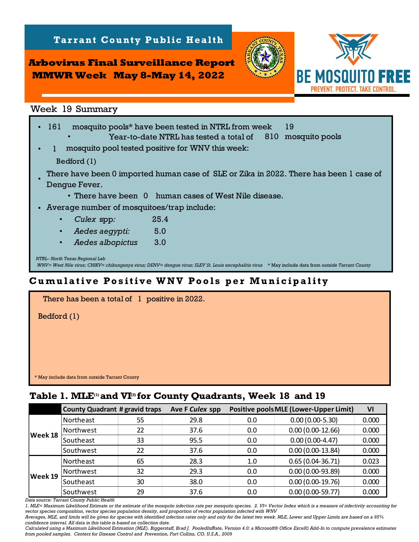**Arbovirus Final Surveillance Report MMWR Week May 8-May 14, 2022**

**Tarrant County Public Health** 



| <u> Arbovirus Final Surveillance Report</u>                                                                                                                                                                                                                                                                                                                                                                                                                                                                                                                                                                                                                              |                       |
|--------------------------------------------------------------------------------------------------------------------------------------------------------------------------------------------------------------------------------------------------------------------------------------------------------------------------------------------------------------------------------------------------------------------------------------------------------------------------------------------------------------------------------------------------------------------------------------------------------------------------------------------------------------------------|-----------------------|
| <b>MMWR Week May 8-May 14, 2022</b>                                                                                                                                                                                                                                                                                                                                                                                                                                                                                                                                                                                                                                      | <b>BE MOSQUITO FR</b> |
| Week 19 Summary                                                                                                                                                                                                                                                                                                                                                                                                                                                                                                                                                                                                                                                          |                       |
| 161<br>19<br>mosquito pools* have been tested in NTRL from week<br>Year-to-date NTRL has tested a total of<br>mosquito pool tested positive for WNV this week:<br>1<br>Bedford (1)<br>There have been 0 imported human case of SLE or Zika in 2022. There has been 1 case of<br>Dengue Fever.<br>• There have been 0 human cases of West Nile disease.<br>Average number of mosquitoes/trap include:<br>Culex spp:<br>25.4<br>5.0<br>Aedes aegypti:<br>Aedes albopictus<br>3.0<br>NTRL- North Texas Regional Lab<br>WNV= West Nile virus; CHIKV= chikungunya virus; DENV= dengue virus; SLEV St. Louis encephalitis virus * May include data from outside Tarrant County | 810 mosquito pools    |
| Cumulative Positive WNV Pools per Municipality                                                                                                                                                                                                                                                                                                                                                                                                                                                                                                                                                                                                                           |                       |
| There has been a total of 1 positive in 2022.<br>Bedford (1)<br>* May include data from outside Tarrant County                                                                                                                                                                                                                                                                                                                                                                                                                                                                                                                                                           |                       |
| Table 1. MLE <sup>(1)</sup> and VI <sup>(2)</sup> for County Quadrants, Week 18 and 19                                                                                                                                                                                                                                                                                                                                                                                                                                                                                                                                                                                   |                       |

## **Cumulative Positive WNV Pools per Municipality**

| There has been a total of 1 positive in 2022.  |  |
|------------------------------------------------|--|
| Bedford (1)                                    |  |
|                                                |  |
|                                                |  |
|                                                |  |
|                                                |  |
| * May include data from outside Tarrant County |  |

|         | <b>County Quadrant # gravid traps</b> |    | Ave F Culex spp |     | <b>Positive pools MLE (Lower-Upper Limit)</b> | VI    |
|---------|---------------------------------------|----|-----------------|-----|-----------------------------------------------|-------|
|         | Northeast                             | 55 | 29.8            | 0.0 | $0.00(0.00-5.30)$                             | 0.000 |
|         | Northwest                             | 22 | 37.6            | 0.0 | $0.00(0.00-12.66)$                            | 0.000 |
| Week 18 | Southeast                             | 33 | 95.5            | 0.0 | $0.00(0.00-4.47)$                             | 0.000 |
|         | Southwest                             | 22 | 37.6            | 0.0 | $0.00(0.00-13.84)$                            | 0.000 |
| Week 19 | Northeast                             | 65 | 28.3            | 1.0 | $0.65(0.04-36.71)$                            | 0.023 |
|         | Northwest                             | 32 | 29.3            | 0.0 | $0.00(0.00-93.89)$                            | 0.000 |
|         | Southeast                             | 30 | 38.0            | 0.0 | $0.00(0.00-19.76)$                            | 0.000 |
|         | Southwest                             | 29 | 37.6            | 0.0 | $0.00(0.00-59.77)$                            | 0.000 |

*Data source: Tarrant County Public Health* 

*1. MLE= Maximum Likelihood Estimate or the estimate of the mosquito infection rate per mosquito species. 2. VI= Vector Index which is a measure of infectivity accounting for vector species composition, vector species population density, and proportion of vector population infected with WNV*

*Averages, MLE, and limits will be given for species with identified infection rates only and only for the latest two week. MLE, Lower and Upper Limits are based on a 95% confidence interval. All data in this table is based on collection date.*

*Calculated using a Maximum Likelihood Estimation (MLE). Biggerstaff, Brad J. PooledInfRate, Version 4.0: a Microsoft® Office Excel© Add-In to compute prevalence estimates from pooled samples. Centers for Disease Control and Prevention, Fort Collins, CO, U.S.A., 2009*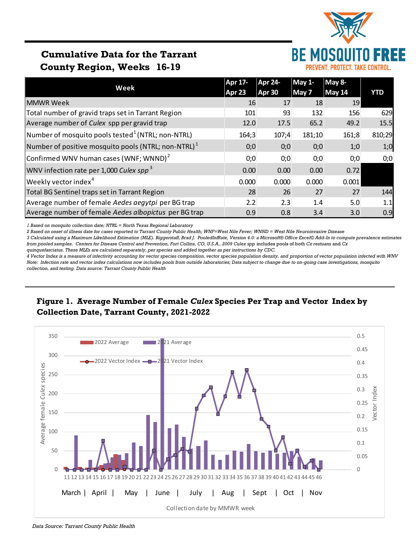

# **Cumulative Data for the Tarrant County Region, Weeks 16-19**

|                                                                 | Apr 17- | <b>Apr 24-</b> | $May 1-$ | May 8-        |            |  |
|-----------------------------------------------------------------|---------|----------------|----------|---------------|------------|--|
| Week                                                            | Apr 23  | Apr 30         | May 7    | <b>May 14</b> | <b>YTD</b> |  |
| <b>MMWR Week</b>                                                | 16      | 17             | 18       | 19            |            |  |
| Total number of gravid traps set in Tarrant Region              | 101     | 93             | 132      | 156           | 629        |  |
| Average number of Culex spp per gravid trap                     | 12.0    | 17.5           | 65.2     | 49.2          | 15.5       |  |
| Number of mosquito pools tested $^1$ (NTRL; non-NTRL)           | 164;3   | 107;4          | 181;10   | 161;8         | 810;29     |  |
| Number of positive mosquito pools (NTRL; non-NTRL) <sup>1</sup> | 0;0     | 0;0            | 0;0      | 1;0           | 1;0        |  |
| Confirmed WNV human cases (WNF; WNND) $2$                       | 0;0     | 0;0            | 0;0      | 0;0           | 0;0        |  |
| WNV infection rate per 1,000 Culex spp <sup>3</sup>             | 0.00    | 0.00           | 0.00     | 0.72          |            |  |
| Weekly vector index <sup>4</sup>                                | 0.000   | 0.000          | 0.000    | 0.001         |            |  |
| Total BG Sentinel traps set in Tarrant Region                   | 28      | 26             | 27       | 27            | 144        |  |
| Average number of female Aedes aegytpi per BG trap              | 2.2     | 2.3            | 1.4      | 5.0           | 1.1        |  |
| Average number of female Aedes albopictus per BG trap           | 0.9     | 0.8            | 3.4      | 3.0           | 0.9        |  |

*1 Based on mosquito collection date; NTRL = North Texas Regional Laboratory*

*2 Based on onset of illness date for cases reported to Tarrant County Public Health; WNF=West Nile Fever; WNND = West Nile Neuroinvasive Disease*

*3 Calculated using a Maximum Likelihood Estimation (MLE). Biggerstaff, Brad J. PooledInfRate, Version 4.0: a Microsoft® Office Excel© Add-In to compute prevalence estimates from pooled samples. Centers for Disease Control and Prevention, Fort Collins, CO, U.S.A., 2009 Culex spp* includes pools of both *Cx restuans* and *Cx* 

*quinquefasciatus. These MLEs are calculated separately, per species and added together as per instructions by CDC.*

*4 Vector Index is a measure of infectivity accounting for vector species composition, vector species population density, and proportion of vector population infected with WNV Note: Infection rate and vector index calculations now includes pools from outside laboratories; Data subject to change due to on-going case investigations, mosquito collection, and testing. Data source: Tarrant County Public Health*

## **Figure 1. Average Number of Female** *Culex* **Species Per Trap and Vector Index by Collection Date, Tarrant County, 2021-2022**



*Data Source: Tarrant County Public Health*